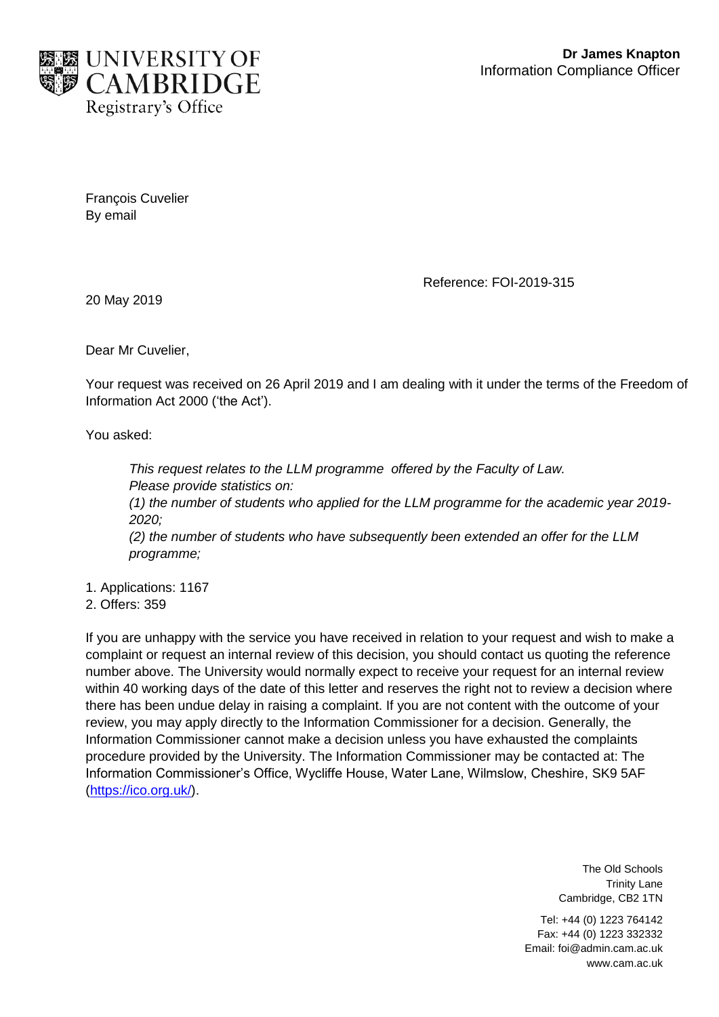

François Cuvelier By email

Reference: FOI-2019-315

20 May 2019

Dear Mr Cuvelier,

Your request was received on 26 April 2019 and I am dealing with it under the terms of the Freedom of Information Act 2000 ('the Act').

You asked:

*This request relates to the LLM programme offered by the Faculty of Law. Please provide statistics on: (1) the number of students who applied for the LLM programme for the academic year 2019- 2020; (2) the number of students who have subsequently been extended an offer for the LLM programme;*

1. Applications: 1167

2. Offers: 359

If you are unhappy with the service you have received in relation to your request and wish to make a complaint or request an internal review of this decision, you should contact us quoting the reference number above. The University would normally expect to receive your request for an internal review within 40 working days of the date of this letter and reserves the right not to review a decision where there has been undue delay in raising a complaint. If you are not content with the outcome of your review, you may apply directly to the Information Commissioner for a decision. Generally, the Information Commissioner cannot make a decision unless you have exhausted the complaints procedure provided by the University. The Information Commissioner may be contacted at: The Information Commissioner's Office, Wycliffe House, Water Lane, Wilmslow, Cheshire, SK9 5AF [\(https://ico.org.uk/\)](https://ico.org.uk/).

> The Old Schools Trinity Lane Cambridge, CB2 1TN

Tel: +44 (0) 1223 764142 Fax: +44 (0) 1223 332332 Email: foi@admin.cam.ac.uk www.cam.ac.uk